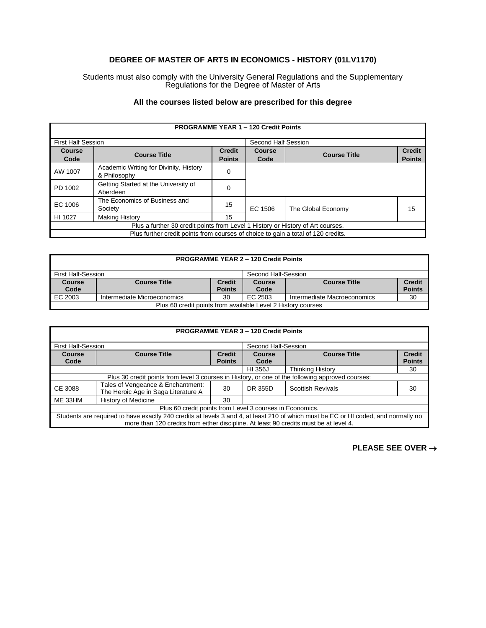## **DEGREE OF MASTER OF ARTS IN ECONOMICS - HISTORY (01LV1170)**

Students must also comply with the University General Regulations and the Supplementary Regulations for the Degree of Master of Arts

## **All the courses listed below are prescribed for this degree**

| <b>PROGRAMME YEAR 1 - 120 Credit Points</b>                                       |                                                        |                                |                |                     |                                |
|-----------------------------------------------------------------------------------|--------------------------------------------------------|--------------------------------|----------------|---------------------|--------------------------------|
| <b>First Half Session</b><br>Second Half Session                                  |                                                        |                                |                |                     |                                |
| <b>Course</b><br>Code                                                             | <b>Course Title</b>                                    | <b>Credit</b><br><b>Points</b> | Course<br>Code | <b>Course Title</b> | <b>Credit</b><br><b>Points</b> |
| AW 1007                                                                           | Academic Writing for Divinity, History<br>& Philosophy | 0                              |                |                     |                                |
| PD 1002                                                                           | Getting Started at the University of<br>Aberdeen       | 0                              |                |                     |                                |
| EC 1006                                                                           | The Economics of Business and<br>Society               | 15                             | EC 1506        | The Global Economy  | 15                             |
| HI 1027                                                                           | <b>Making History</b>                                  | 15                             |                |                     |                                |
| Plus a further 30 credit points from Level 1 History or History of Art courses.   |                                                        |                                |                |                     |                                |
| Plus further credit points from courses of choice to gain a total of 120 credits. |                                                        |                                |                |                     |                                |

| <b>PROGRAMME YEAR 2 - 120 Credit Points</b>                  |                                                                                   |                                |                       |                     |                                |  |
|--------------------------------------------------------------|-----------------------------------------------------------------------------------|--------------------------------|-----------------------|---------------------|--------------------------------|--|
|                                                              | First Half-Session<br>Second Half-Session                                         |                                |                       |                     |                                |  |
| <b>Course</b><br>Code                                        | <b>Course Title</b>                                                               | <b>Credit</b><br><b>Points</b> | <b>Course</b><br>Code | <b>Course Title</b> | <b>Credit</b><br><b>Points</b> |  |
| EC 2003                                                      | 30<br>EC 2503<br>Intermediate Microeconomics<br>Intermediate Macroeconomics<br>30 |                                |                       |                     |                                |  |
| Plus 60 credit points from available Level 2 History courses |                                                                                   |                                |                       |                     |                                |  |

| <b>PROGRAMME YEAR 3 - 120 Credit Points</b>                                                                                                                                                                                 |                                                                          |                                |                     |                          |                                |
|-----------------------------------------------------------------------------------------------------------------------------------------------------------------------------------------------------------------------------|--------------------------------------------------------------------------|--------------------------------|---------------------|--------------------------|--------------------------------|
| <b>First Half-Session</b>                                                                                                                                                                                                   |                                                                          |                                | Second Half-Session |                          |                                |
| Course<br>Code                                                                                                                                                                                                              | <b>Course Title</b>                                                      | <b>Credit</b><br><b>Points</b> | Course<br>Code      | <b>Course Title</b>      | <b>Credit</b><br><b>Points</b> |
|                                                                                                                                                                                                                             |                                                                          |                                | HI 356J             | <b>Thinking History</b>  | 30                             |
| Plus 30 credit points from level 3 courses in History, or one of the following approved courses:                                                                                                                            |                                                                          |                                |                     |                          |                                |
| CE 3088                                                                                                                                                                                                                     | Tales of Vengeance & Enchantment:<br>The Heroic Age in Saga Literature A | 30                             | DR 355D             | <b>Scottish Revivals</b> | 30                             |
| ME 33HM                                                                                                                                                                                                                     | History of Medicine                                                      | 30                             |                     |                          |                                |
| Plus 60 credit points from Level 3 courses in Economics.                                                                                                                                                                    |                                                                          |                                |                     |                          |                                |
| Students are required to have exactly 240 credits at levels 3 and 4, at least 210 of which must be EC or HI coded, and normally no<br>more than 120 credits from either discipline. At least 90 credits must be at level 4. |                                                                          |                                |                     |                          |                                |

**PLEASE SEE OVER** →